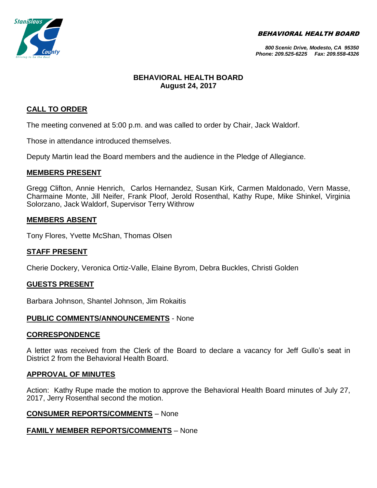BEHAVIORAL HEALTH BOARD



#### *800 Scenic Drive, Modesto, CA 95350 Phone: 209.525-6225 Fax: 209.558-4326*

# **BEHAVIORAL HEALTH BOARD August 24, 2017**

# **CALL TO ORDER**

The meeting convened at 5:00 p.m. and was called to order by Chair, Jack Waldorf.

Those in attendance introduced themselves.

Deputy Martin lead the Board members and the audience in the Pledge of Allegiance.

# **MEMBERS PRESENT**

Gregg Clifton, Annie Henrich, Carlos Hernandez, Susan Kirk, Carmen Maldonado, Vern Masse, Charmaine Monte, Jill Neifer, Frank Ploof, Jerold Rosenthal, Kathy Rupe, Mike Shinkel, Virginia Solorzano, Jack Waldorf, Supervisor Terry Withrow

# **MEMBERS ABSENT**

Tony Flores, Yvette McShan, Thomas Olsen

# **STAFF PRESENT**

Cherie Dockery, Veronica Ortiz-Valle, Elaine Byrom, Debra Buckles, Christi Golden

# **GUESTS PRESENT**

Barbara Johnson, Shantel Johnson, Jim Rokaitis

# **PUBLIC COMMENTS/ANNOUNCEMENTS** - None

# **CORRESPONDENCE**

A letter was received from the Clerk of the Board to declare a vacancy for Jeff Gullo's seat in District 2 from the Behavioral Health Board.

# **APPROVAL OF MINUTES**

Action: Kathy Rupe made the motion to approve the Behavioral Health Board minutes of July 27, 2017, Jerry Rosenthal second the motion.

# **CONSUMER REPORTS/COMMENTS** – None

# **FAMILY MEMBER REPORTS/COMMENTS** – None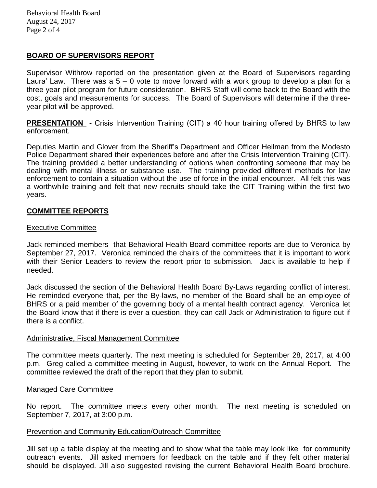# **BOARD OF SUPERVISORS REPORT**

Supervisor Withrow reported on the presentation given at the Board of Supervisors regarding Laura' Law. There was  $a 5 - 0$  vote to move forward with a work group to develop a plan for a three year pilot program for future consideration. BHRS Staff will come back to the Board with the cost, goals and measurements for success. The Board of Supervisors will determine if the threeyear pilot will be approved.

**PRESENTATION -** Crisis Intervention Training (CIT) a 40 hour training offered by BHRS to law enforcement.

Deputies Martin and Glover from the Sheriff's Department and Officer Heilman from the Modesto Police Department shared their experiences before and after the Crisis Intervention Training (CIT). The training provided a better understanding of options when confronting someone that may be dealing with mental illness or substance use. The training provided different methods for law enforcement to contain a situation without the use of force in the initial encounter. All felt this was a worthwhile training and felt that new recruits should take the CIT Training within the first two years.

### **COMMITTEE REPORTS**

#### Executive Committee

Jack reminded members that Behavioral Health Board committee reports are due to Veronica by September 27, 2017. Veronica reminded the chairs of the committees that it is important to work with their Senior Leaders to review the report prior to submission. Jack is available to help if needed.

Jack discussed the section of the Behavioral Health Board By-Laws regarding conflict of interest. He reminded everyone that, per the By-laws, no member of the Board shall be an employee of BHRS or a paid member of the governing body of a mental health contract agency. Veronica let the Board know that if there is ever a question, they can call Jack or Administration to figure out if there is a conflict.

#### Administrative, Fiscal Management Committee

The committee meets quarterly. The next meeting is scheduled for September 28, 2017, at 4:00 p.m. Greg called a committee meeting in August, however, to work on the Annual Report. The committee reviewed the draft of the report that they plan to submit.

#### Managed Care Committee

No report. The committee meets every other month. The next meeting is scheduled on September 7, 2017, at 3:00 p.m.

#### Prevention and Community Education/Outreach Committee

Jill set up a table display at the meeting and to show what the table may look like for community outreach events. Jill asked members for feedback on the table and if they felt other material should be displayed. Jill also suggested revising the current Behavioral Health Board brochure.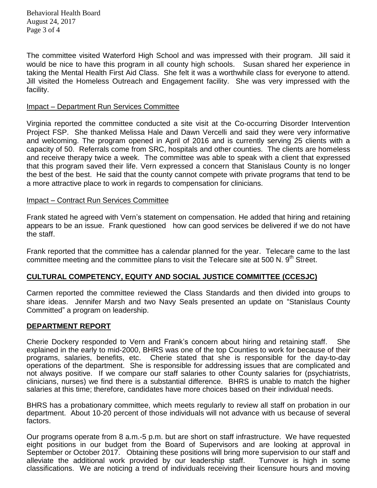Behavioral Health Board August 24, 2017 Page 3 of 4

The committee visited Waterford High School and was impressed with their program. Jill said it would be nice to have this program in all county high schools. Susan shared her experience in taking the Mental Health First Aid Class. She felt it was a worthwhile class for everyone to attend. Jill visited the Homeless Outreach and Engagement facility. She was very impressed with the facility.

#### Impact – Department Run Services Committee

Virginia reported the committee conducted a site visit at the Co-occurring Disorder Intervention Project FSP. She thanked Melissa Hale and Dawn Vercelli and said they were very informative and welcoming. The program opened in April of 2016 and is currently serving 25 clients with a capacity of 50. Referrals come from SRC, hospitals and other counties. The clients are homeless and receive therapy twice a week. The committee was able to speak with a client that expressed that this program saved their life. Vern expressed a concern that Stanislaus County is no longer the best of the best. He said that the county cannot compete with private programs that tend to be a more attractive place to work in regards to compensation for clinicians.

### Impact – Contract Run Services Committee

Frank stated he agreed with Vern's statement on compensation. He added that hiring and retaining appears to be an issue. Frank questioned how can good services be delivered if we do not have the staff.

Frank reported that the committee has a calendar planned for the year. Telecare came to the last committee meeting and the committee plans to visit the Telecare site at 500 N.  $9<sup>th</sup>$  Street.

# **CULTURAL COMPETENCY, EQUITY AND SOCIAL JUSTICE COMMITTEE (CCESJC)**

Carmen reported the committee reviewed the Class Standards and then divided into groups to share ideas. Jennifer Marsh and two Navy Seals presented an update on "Stanislaus County Committed" a program on leadership.

#### **DEPARTMENT REPORT**

Cherie Dockery responded to Vern and Frank's concern about hiring and retaining staff. She explained in the early to mid-2000, BHRS was one of the top Counties to work for because of their programs, salaries, benefits, etc. Cherie stated that she is responsible for the day-to-day operations of the department. She is responsible for addressing issues that are complicated and not always positive. If we compare our staff salaries to other County salaries for (psychiatrists, clinicians, nurses) we find there is a substantial difference. BHRS is unable to match the higher salaries at this time; therefore, candidates have more choices based on their individual needs.

BHRS has a probationary committee, which meets regularly to review all staff on probation in our department. About 10-20 percent of those individuals will not advance with us because of several factors.

Our programs operate from 8 a.m.-5 p.m. but are short on staff infrastructure. We have requested eight positions in our budget from the Board of Supervisors and are looking at approval in September or October 2017. Obtaining these positions will bring more supervision to our staff and alleviate the additional work provided by our leadership staff. Turnover is high in some classifications. We are noticing a trend of individuals receiving their licensure hours and moving